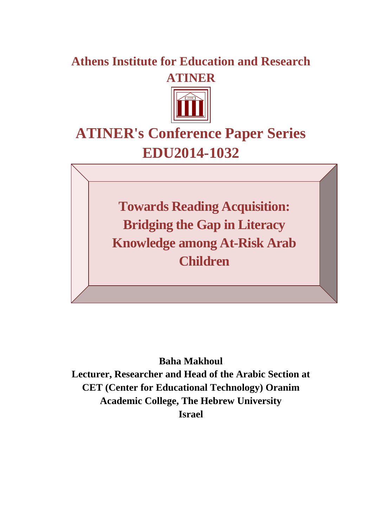## **Athens Institute for Education and Research ATINER**



# **ATINER's Conference Paper Series EDU2014-1032**

**Towards Reading Acquisition: Bridging the Gap in Literacy Knowledge among At-Risk Arab Children**

**Baha Makhoul Lecturer, Researcher and Head of the Arabic Section at CET (Center for Educational Technology) Oranim Academic College, The Hebrew University Israel**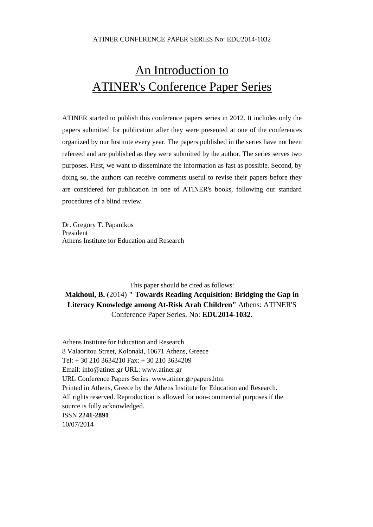#### ATINER CONFERENCE PAPER SERIES No: EDU2014-1032

## An Introduction to ATINER's Conference Paper Series

ATINER started to publish this conference papers series in 2012. It includes only the papers submitted for publication after they were presented at one of the conferences organized by our Institute every year. The papers published in the series have not been refereed and are published as they were submitted by the author. The series serves two purposes. First, we want to disseminate the information as fast as possible. Second, by doing so, the authors can receive comments useful to revise their papers before they are considered for publication in one of ATINER's books, following our standard procedures of a blind review.

Dr. Gregory T. Papanikos President Athens Institute for Education and Research

This paper should be cited as follows: **Makhoul, B.** (2014) **" Towards Reading Acquisition: Bridging the Gap in Literacy Knowledge among At-Risk Arab Children"** Athens: ATINER'S Conference Paper Series, No: **EDU2014-1032**.

Athens Institute for Education and Research 8 Valaoritou Street, Kolonaki, 10671 Athens, Greece Tel: + 30 210 3634210 Fax: + 30 210 3634209 Email: info@atiner.gr URL: www.atiner.gr URL Conference Papers Series: www.atiner.gr/papers.htm Printed in Athens, Greece by the Athens Institute for Education and Research. All rights reserved. Reproduction is allowed for non-commercial purposes if the source is fully acknowledged. ISSN **2241-2891** 10/07/2014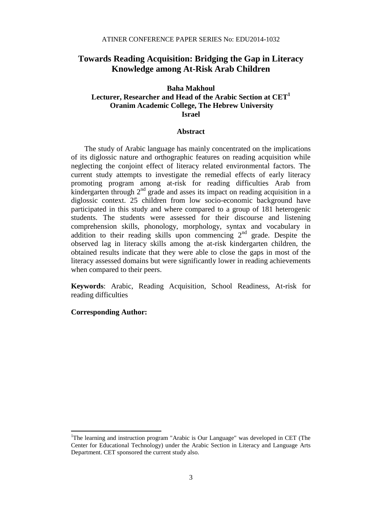## **Towards Reading Acquisition: Bridging the Gap in Literacy Knowledge among At-Risk Arab Children**

## **Baha Makhoul Lecturer, Researcher and Head of the Arabic Section at CET<sup>1</sup> Oranim Academic College, The Hebrew University Israel**

#### **Abstract**

The study of Arabic language has mainly concentrated on the implications of its diglossic nature and orthographic features on reading acquisition while neglecting the conjoint effect of literacy related environmental factors. The current study attempts to investigate the remedial effects of early literacy promoting program among at-risk for reading difficulties Arab from kindergarten through  $2<sup>nd</sup>$  grade and asses its impact on reading acquisition in a diglossic context. 25 children from low socio-economic background have participated in this study and where compared to a group of 181 heterogenic students. The students were assessed for their discourse and listening comprehension skills, phonology, morphology, syntax and vocabulary in addition to their reading skills upon commencing 2<sup>nd</sup> grade. Despite the observed lag in literacy skills among the at-risk kindergarten children, the obtained results indicate that they were able to close the gaps in most of the literacy assessed domains but were significantly lower in reading achievements when compared to their peers.

**Keywords**: Arabic, Reading Acquisition, School Readiness, At-risk for reading difficulties

#### **Corresponding Author:**

 $\overline{\phantom{a}}$ 

<sup>&</sup>lt;sup>1</sup>The learning and instruction program "Arabic is Our Language" was developed in CET (The Center for Educational Technology) under the Arabic Section in Literacy and Language Arts Department. CET sponsored the current study also.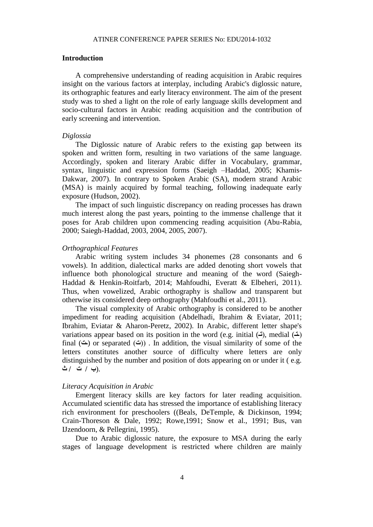#### **Introduction**

A comprehensive understanding of reading acquisition in Arabic requires insight on the various factors at interplay, including Arabic's diglossic nature, its orthographic features and early literacy environment. The aim of the present study was to shed a light on the role of early language skills development and socio-cultural factors in Arabic reading acquisition and the contribution of early screening and intervention.

#### *Diglossia*

The Diglossic nature of Arabic refers to the existing gap between its spoken and written form, resulting in two variations of the same language. Accordingly, spoken and literary Arabic differ in Vocabulary, grammar, syntax, linguistic and expression forms (Saeigh –Haddad, 2005; Khamis-Dakwar, 2007). In contrary to Spoken Arabic (SA), modern strand Arabic (MSA) is mainly acquired by formal teaching, following inadequate early exposure (Hudson, 2002).

The impact of such linguistic discrepancy on reading processes has drawn much interest along the past years, pointing to the immense challenge that it poses for Arab children upon commencing reading acquisition (Abu-Rabia, 2000; Saiegh-Haddad, 2003, 2004, 2005, 2007).

#### *Orthographical Features*

Arabic writing system includes 34 phonemes (28 consonants and 6 vowels). In addition, dialectical marks are added denoting short vowels that influence both phonological structure and meaning of the word (Saiegh-Haddad & Henkin-Roitfarb, 2014; Mahfoudhi, Everatt & Elbeheri, 2011). Thus, when vowelized, Arabic orthography is shallow and transparent but otherwise its considered deep orthography (Mahfoudhi et al., 2011).

The visual complexity of Arabic orthography is considered to be another impediment for reading acquisition (Abdelhadi, Ibrahim & Eviatar, 2011; Ibrahim, Eviatar & Aharon-Peretz, 2002). In Arabic, different letter shape's variations appear based on its position in the word (e.g. initial (**تـ**), medial (**ـتـ**) final ( $\dot{\bullet}$ ) or separated ( $\dot{\bullet}$ )). In addition, the visual similarity of some of the letters constitutes another source of difficulty where letters are only distinguished by the number and position of dots appearing on or under it ( e.g. .(**ب / ت / ث**

#### *Literacy Acquisition in Arabic*

Emergent literacy skills are key factors for later reading acquisition. Accumulated scientific data has stressed the importance of establishing literacy rich environment for preschoolers ((Beals, DeTemple, & Dickinson, 1994; Crain-Thoreson & Dale, 1992; Rowe,1991; Snow et al., 1991; Bus, van IJzendoorn, & Pellegrini, 1995).

Due to Arabic diglossic nature, the exposure to MSA during the early stages of language development is restricted where children are mainly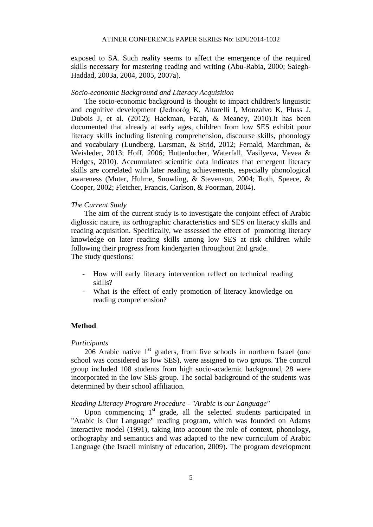exposed to SA. Such reality seems to affect the emergence of the required skills necessary for mastering reading and writing (Abu-Rabia, 2000; Saiegh-Haddad, 2003a, 2004, 2005, 2007a).

#### *Socio-economic Background and Literacy Acquisition*

The socio-economic background is thought to impact children's linguistic and cognitive development (Jednoróg K, Altarelli I, Monzalvo K, Fluss J, Dubois J, et al. (2012); Hackman, Farah, & Meaney, 2010).It has been documented that already at early ages, children from low SES exhibit poor literacy skills including listening comprehension, discourse skills, phonology and vocabulary (Lundberg, Larsman, & Strid, 2012; Fernald, Marchman, & Weisleder, 2013; Hoff, 2006; Huttenlocher, Waterfall, Vasilyeva, Vevea & Hedges, 2010). Accumulated scientific data indicates that emergent literacy skills are correlated with later reading achievements, especially phonological awareness (Muter, Hulme, Snowling, & Stevenson, 2004; Roth, Speece, & Cooper, 2002; Fletcher, Francis, Carlson, & Foorman, 2004).

#### *The Current Study*

The aim of the current study is to investigate the conjoint effect of Arabic diglossic nature, its orthographic characteristics and SES on literacy skills and reading acquisition. Specifically, we assessed the effect of promoting literacy knowledge on later reading skills among low SES at risk children while following their progress from kindergarten throughout 2nd grade. The study questions:

- How will early literacy intervention reflect on technical reading skills?
- What is the effect of early promotion of literacy knowledge on reading comprehension?

### **Method**

#### *Participants*

206 Arabic native  $1<sup>st</sup>$  graders, from five schools in northern Israel (one school was considered as low SES), were assigned to two groups. The control group included 108 students from high socio-academic background, 28 were incorporated in the low SES group. The social background of the students was determined by their school affiliation.

## *Reading Literacy Program Procedure - "Arabic is our Language"*

Upon commencing 1<sup>st</sup> grade, all the selected students participated in "Arabic is Our Language" reading program, which was founded on Adams interactive model (1991), taking into account the role of context, phonology, orthography and semantics and was adapted to the new curriculum of Arabic Language (the Israeli ministry of education, 2009). The program development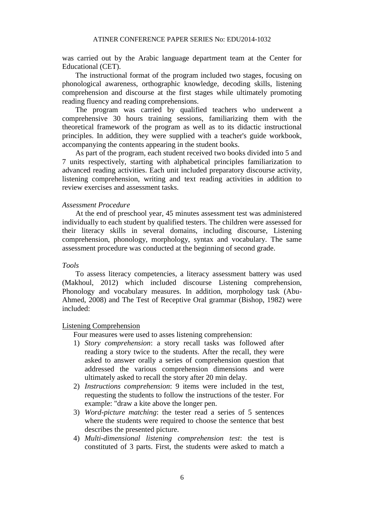was carried out by the Arabic language department team at the Center for Educational (CET).

The instructional format of the program included two stages, focusing on phonological awareness, orthographic knowledge, decoding skills, listening comprehension and discourse at the first stages while ultimately promoting reading fluency and reading comprehensions.

The program was carried by qualified teachers who underwent a comprehensive 30 hours training sessions, familiarizing them with the theoretical framework of the program as well as to its didactic instructional principles. In addition, they were supplied with a teacher's guide workbook, accompanying the contents appearing in the student books.

As part of the program, each student received two books divided into 5 and 7 units respectively, starting with alphabetical principles familiarization to advanced reading activities. Each unit included preparatory discourse activity, listening comprehension, writing and text reading activities in addition to review exercises and assessment tasks.

#### *Assessment Procedure*

At the end of preschool year, 45 minutes assessment test was administered individually to each student by qualified testers. The children were assessed for their literacy skills in several domains, including discourse, Listening comprehension, phonology, morphology, syntax and vocabulary. The same assessment procedure was conducted at the beginning of second grade.

### *Tools*

To assess literacy competencies, a literacy assessment battery was used (Makhoul, 2012) which included discourse Listening comprehension, Phonology and vocabulary measures. In addition, morphology task (Abu-Ahmed, 2008) and The Test of Receptive Oral grammar (Bishop, 1982) were included:

#### Listening Comprehension

Four measures were used to asses listening comprehension:

- 1) *Story comprehension*: a story recall tasks was followed after reading a story twice to the students. After the recall, they were asked to answer orally a series of comprehension question that addressed the various comprehension dimensions and were ultimately asked to recall the story after 20 min delay.
- 2) *Instructions comprehension*: 9 items were included in the test, requesting the students to follow the instructions of the tester. For example: "draw a kite above the longer pen.
- 3) *Word-picture matching*: the tester read a series of 5 sentences where the students were required to choose the sentence that best describes the presented picture.
- 4) *Multi-dimensional listening comprehension test*: the test is constituted of 3 parts. First, the students were asked to match a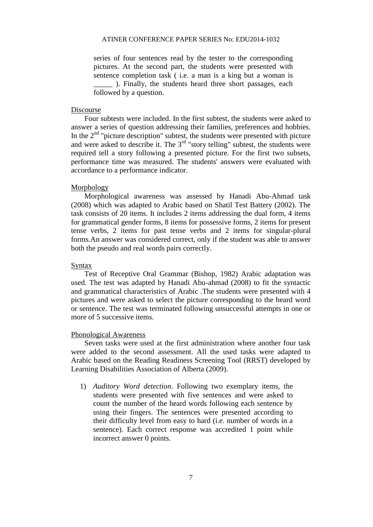series of four sentences read by the tester to the corresponding pictures. At the second part, the students were presented with sentence completion task ( i.e. a man is a king but a woman is \_\_\_\_\_ ). Finally, the students heard three short passages, each followed by a question.

#### Discourse

Four subtests were included. In the first subtest, the students were asked to answer a series of question addressing their families, preferences and hobbies. In the  $2<sup>nd</sup>$  "picture description" subtest, the students were presented with picture and were asked to describe it. The  $3<sup>rd</sup>$  "story telling" subtest, the students were required tell a story following a presented picture. For the first two subsets, performance time was measured. The students' answers were evaluated with accordance to a performance indicator.

#### Morphology

Morphological awareness was assessed by Hanadi Abu-Ahmad task (2008) which was adapted to Arabic based on Shatil Test Battery (2002). The task consists of 20 items. It includes 2 items addressing the dual form, 4 items for grammatical gender forms, 8 items for possessive forms, 2 items for present tense verbs, 2 items for past tense verbs and 2 items for singular-plural forms.An answer was considered correct, only if the student was able to answer both the pseudo and real words pairs correctly.

#### Syntax

Test of Receptive Oral Grammar (Bishop, 1982) Arabic adaptation was used. The test was adapted by Hanadi Abu-ahmad (2008) to fit the syntactic and grammatical characteristics of Arabic .The students were presented with 4 pictures and were asked to select the picture corresponding to the heard word or sentence. The test was terminated following unsuccessful attempts in one or more of 5 successive items.

#### Phonological Awareness

Seven tasks were used at the first administration where another four task were added to the second assessment. All the used tasks were adapted to Arabic based on the Reading Readiness Screening Tool (RRST) developed by Learning Disabilities Association of Alberta (2009).

1) *Auditory Word detection*. Following two exemplary items, the students were presented with five sentences and were asked to count the number of the heard words following each sentence by using their fingers. The sentences were presented according to their difficulty level from easy to hard (i.e. number of words in a sentence). Each correct response was accredited 1 point while incorrect answer 0 points.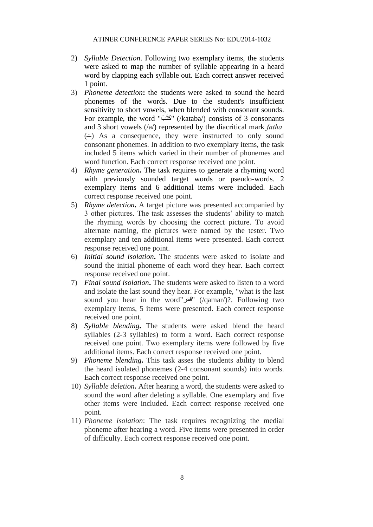- 2) *Syllable Detection*. Following two exemplary items, the students were asked to map the number of syllable appearing in a heard word by clapping each syllable out. Each correct answer received 1 point.
- 3) *Phoneme detection***:** the students were asked to sound the heard phonemes of the words. Due to the student's insufficient sensitivity to short vowels, when blended with consonant sounds. For example, the word "كَتَب" (/kataba/) consists of 3 consonants and 3 short vowels (/a/) represented by the diacritical mark *fatha*  $(-)$  As a consequence, they were instructed to only sound َ consonant phonemes. In addition to two exemplary items, the task included 5 items which varied in their number of phonemes and word function. Each correct response received one point.
- 4) *Rhyme generation***.** The task requires to generate a rhyming word with previously sounded target words or pseudo-words. 2 exemplary items and 6 additional items were included. Each correct response received one point.
- 5) *Rhyme detection***.** A target picture was presented accompanied by 3 other pictures. The task assesses the students' ability to match the rhyming words by choosing the correct picture. To avoid alternate naming, the pictures were named by the tester. Two exemplary and ten additional items were presented. Each correct response received one point.
- 6) *Initial sound isolation***.** The students were asked to isolate and sound the initial phoneme of each word they hear. Each correct response received one point.
- 7) *Final sound isolation***.** The students were asked to listen to a word and isolate the last sound they hear. For example, "what is the last sound you hear in the word" فَقَر) (/qamar/)?. Following two exemplary items, 5 items were presented. Each correct response received one point.
- 8) *Syllable blending***.** The students were asked blend the heard syllables (2-3 syllables) to form a word. Each correct response received one point. Two exemplary items were followed by five additional items. Each correct response received one point.
- 9) *Phoneme blending***.** This task asses the students ability to blend the heard isolated phonemes (2-4 consonant sounds) into words. Each correct response received one point.
- 10) *Syllable deletion***.** After hearing a word, the students were asked to sound the word after deleting a syllable. One exemplary and five other items were included. Each correct response received one point.
- 11) *Phoneme isolation*: The task requires recognizing the medial phoneme after hearing a word. Five items were presented in order of difficulty. Each correct response received one point.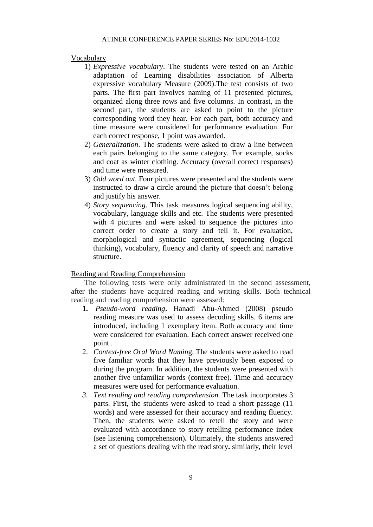#### Vocabulary

- 1) *Expressive vocabulary*. The students were tested on an Arabic adaptation of Learning disabilities association of Alberta expressive vocabulary Measure (2009).The test consists of two parts. The first part involves naming of 11 presented pictures, organized along three rows and five columns. In contrast, in the second part, the students are asked to point to the picture corresponding word they hear. For each part, both accuracy and time measure were considered for performance evaluation. For each correct response, 1 point was awarded.
- 2) *Generalization*. The students were asked to draw a line between each pairs belonging to the same category. For example, socks and coat as winter clothing. Accuracy (overall correct responses) and time were measured.
- 3) *Odd word out.* Four pictures were presented and the students were instructed to draw a circle around the picture that doesn't belong and justify his answer.
- 4) *Story sequencing*. This task measures logical sequencing ability, vocabulary, language skills and etc. The students were presented with 4 pictures and were asked to sequence the pictures into correct order to create a story and tell it. For evaluation, morphological and syntactic agreement, sequencing (logical thinking), vocabulary, fluency and clarity of speech and narrative structure.

#### Reading and Reading Comprehension

The following tests were only administrated in the second assessment, after the students have acquired reading and writing skills. Both technical reading and reading comprehension were assessed:

- **1.** *Pseudo-word reading***.** Hanadi Abu-Ahmed (2008) pseudo reading measure was used to assess decoding skills. 6 items are introduced, including 1 exemplary item. Both accuracy and time were considered for evaluation. Each correct answer received one point .
- 2. *Context-free Oral Word Namin*g. The students were asked to read five familiar words that they have previously been exposed to during the program. In addition, the students were presented with another five unfamiliar words (context free). Time and accuracy measures were used for performance evaluation.
- *3. Text reading and reading comprehension.* The task incorporates 3 parts. First, the students were asked to read a short passage (11 words) and were assessed for their accuracy and reading fluency. Then, the students were asked to retell the story and were evaluated with accordance to story retelling performance index (see listening comprehension)**.** Ultimately, the students answered a set of questions dealing with the read story**.** similarly, their level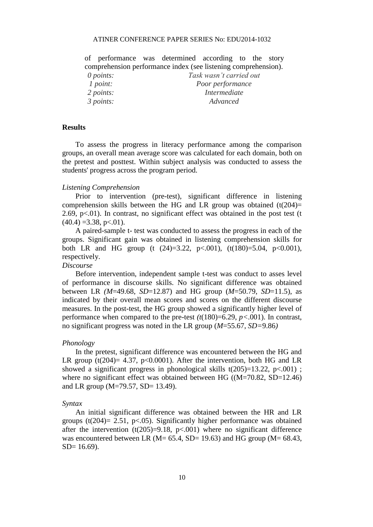#### ATINER CONFERENCE PAPER SERIES No: EDU2014-1032

of performance was determined according to the story comprehension performance index (see listening comprehension).

*0 points: Task wasn't carried out 1 point: Poor performance 2 points: Intermediate 3 points: Advanced*

## **Results**

To assess the progress in literacy performance among the comparison groups, an overall mean average score was calculated for each domain, both on the pretest and posttest. Within subject analysis was conducted to assess the students' progress across the program period.

#### *Listening Comprehension*

Prior to intervention (pre-test), significant difference in listening comprehension skills between the HG and LR group was obtained  $(t(204)$ = 2.69,  $p<.01$ ). In contrast, no significant effect was obtained in the post test (t  $(40.4) = 3.38$ , p<.01).

A paired-sample t- test was conducted to assess the progress in each of the groups. Significant gain was obtained in listening comprehension skills for both LR and HG group (t  $(24)=3.22$ ,  $p<.001$ ),  $(t(180)=5.04, p<0.001)$ , respectively.

### *Discourse*

Before intervention, independent sample t-test was conduct to asses level of performance in discourse skills. No significant difference was obtained between LR *(M*=49.68, *SD*=12.87) and HG group (*M*=50.79, *SD*=11.5), as indicated by their overall mean scores and scores on the different discourse measures. In the post-test, the HG group showed a significantly higher level of performance when compared to the pre-test  $(t(180)=6.29, p<.001)$ . In contrast, no significant progress was noted in the LR group (*M*=55.67, *SD=*9.86*)*

## *Phonology*

In the pretest, significant difference was encountered between the HG and LR group (t(204)= 4.37, p<0.0001). After the intervention, both HG and LR showed a significant progress in phonological skills  $t(205)=13.22$ , p $<0.001$ ); where no significant effect was obtained between HG ((M=70.82, SD=12.46)) and LR group (M=79.57, SD= 13.49).

#### *Syntax*

An initial significant difference was obtained between the HR and LR groups (t(204)= 2.51, p<.05). Significantly higher performance was obtained after the intervention  $(t(205)=9.18, p<0.001)$  where no significant difference was encountered between LR ( $M = 65.4$ , SD= 19.63) and HG group ( $M = 68.43$ ,  $SD= 16.69$ ).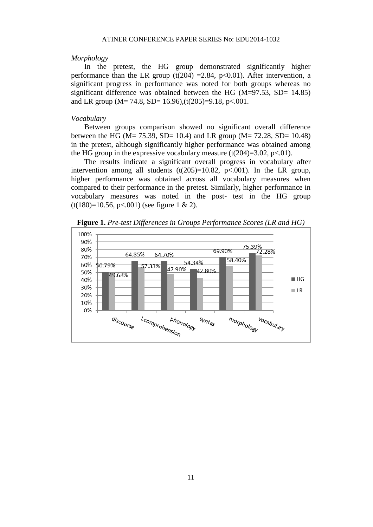#### *Morphology*

In the pretest, the HG group demonstrated significantly higher performance than the LR group (t(204) = 2.84, p<0.01). After intervention, a significant progress in performance was noted for both groups whereas no significant difference was obtained between the HG  $(M=97.53, SD= 14.85)$ and LR group ( $M = 74.8$ , SD= 16.96),(t(205)=9.18, p<.001.

#### *Vocabulary*

Between groups comparison showed no significant overall difference between the HG (M= 75.39, SD= 10.4) and LR group (M= 72.28, SD= 10.48) in the pretest, although significantly higher performance was obtained among the HG group in the expressive vocabulary measure  $(t(204)=3.02, p<0.01)$ .

The results indicate a significant overall progress in vocabulary after intervention among all students  $(t(205)=10.82, p<0.01)$ . In the LR group, higher performance was obtained across all vocabulary measures when compared to their performance in the pretest. Similarly, higher performance in vocabulary measures was noted in the post- test in the HG group  $(t(180)=10.56, p<0.01)$  (see figure 1 & 2).



**Figure 1.** *Pre-test Differences in Groups Performance Scores (LR and HG)*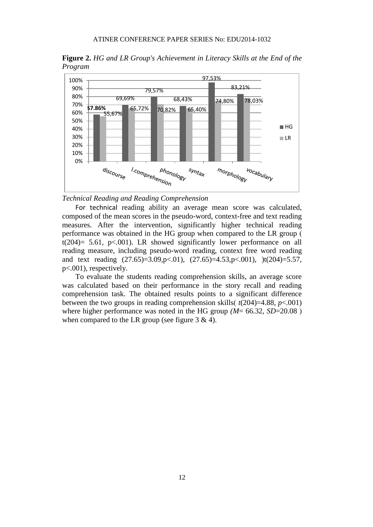**Figure 2.** *HG and LR Group's Achievement in Literacy Skills at the End of the Program*



*Technical Reading and Reading Comprehension*

For technical reading ability an average mean score was calculated, composed of the mean scores in the pseudo-word, context-free and text reading measures. After the intervention, significantly higher technical reading performance was obtained in the HG group when compared to the LR group ( t(204)= 5.61, p<.001). LR showed significantly lower performance on all reading measure, including pseudo-word reading, context free word reading and text reading  $(27.65)=3.09$ ,p $< 0.01$ ),  $(27.65)=4.53$ ,p $< 0.01$ ),  $)t(204)=5.57$ , p<.001), respectively.

To evaluate the students reading comprehension skills, an average score was calculated based on their performance in the story recall and reading comprehension task. The obtained results points to a significant difference between the two groups in reading comprehension skills( $t(204)=4.88$ ,  $p<.001$ ) where higher performance was noted in the HG group  $(M = 66.32, SD = 20.08)$ when compared to the LR group (see figure  $3 \& 4$ ).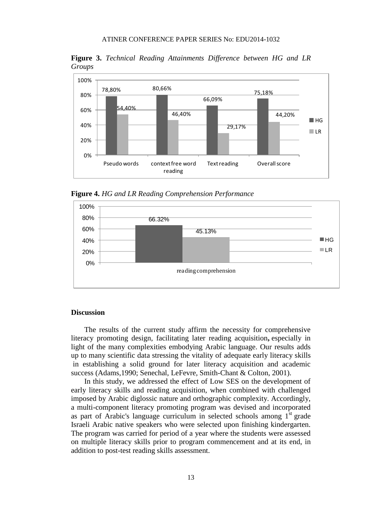**Figure 3.** *Technical Reading Attainments Difference between HG and LR Groups*



**Figure 4.** *HG and LR Reading Comprehension Performance*



#### **Discussion**

The results of the current study affirm the necessity for comprehensive literacy promoting design, facilitating later reading acquisition**,** especially in light of the many complexities embodying Arabic language. Our results adds up to many scientific data stressing the vitality of adequate early literacy skills in establishing a solid ground for later literacy acquisition and academic success (Adams,1990; Senechal, LeFevre, Smith-Chant & Colton, 2001).

In this study, we addressed the effect of Low SES on the development of early literacy skills and reading acquisition, when combined with challenged imposed by Arabic diglossic nature and orthographic complexity. Accordingly, a multi-component literacy promoting program was devised and incorporated as part of Arabic's language curriculum in selected schools among  $1<sup>st</sup>$  grade Israeli Arabic native speakers who were selected upon finishing kindergarten. The program was carried for period of a year where the students were assessed on multiple literacy skills prior to program commencement and at its end, in addition to post-test reading skills assessment.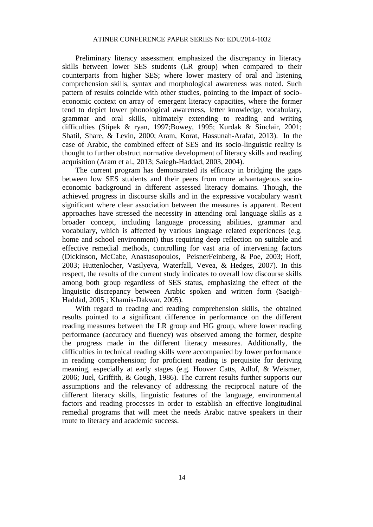Preliminary literacy assessment emphasized the discrepancy in literacy skills between lower SES students (LR group) when compared to their counterparts from higher SES; where lower mastery of oral and listening comprehension skills, syntax and morphological awareness was noted. Such pattern of results coincide with other studies, pointing to the impact of socioeconomic context on array of emergent literacy capacities, where the former tend to depict lower phonological awareness, letter knowledge, vocabulary, grammar and oral skills, ultimately extending to reading and writing difficulties (Stipek & ryan, 1997;Bowey, 1995; Kurdak & Sinclair, 2001; Shatil, Share, & Levin, 2000; Aram, Korat, Hassunah-Arafat, 2013). In the case of Arabic, the combined effect of SES and its socio-linguistic reality is thought to further obstruct normative development of literacy skills and reading acquisition (Aram et al., 2013; Saiegh-Haddad, 2003, 2004).

The current program has demonstrated its efficacy in bridging the gaps between low SES students and their peers from more advantageous socioeconomic background in different assessed literacy domains. Though, the achieved progress in discourse skills and in the expressive vocabulary wasn't significant where clear association between the measures is apparent. Recent approaches have stressed the necessity in attending oral language skills as a broader concept, including language processing abilities, grammar and vocabulary, which is affected by various language related experiences (e.g. home and school environment) thus requiring deep reflection on suitable and effective remedial methods, controlling for vast aria of intervening factors (Dickinson, McCabe, Anastasopoulos, PeisnerFeinberg, & Poe, 2003; Hoff, 2003; Huttenlocher, Vasilyeva, Waterfall, Vevea, & Hedges, 2007). In this respect, the results of the current study indicates to overall low discourse skills among both group regardless of SES status, emphasizing the effect of the linguistic discrepancy between Arabic spoken and written form (Saeigh-Haddad, 2005 ; Khamis-Dakwar, 2005).

With regard to reading and reading comprehension skills, the obtained results pointed to a significant difference in performance on the different reading measures between the LR group and HG group, where lower reading performance (accuracy and fluency) was observed among the former, despite the progress made in the different literacy measures. Additionally, the difficulties in technical reading skills were accompanied by lower performance in reading comprehension; for proficient reading is perquisite for deriving meaning, especially at early stages (e.g. Hoover Catts, Adlof, & Weismer, 2006; Juel, Griffith, & Gough, 1986). The current results further supports our assumptions and the relevancy of addressing the reciprocal nature of the different literacy skills, linguistic features of the language, environmental factors and reading processes in order to establish an effective longitudinal remedial programs that will meet the needs Arabic native speakers in their route to literacy and academic success.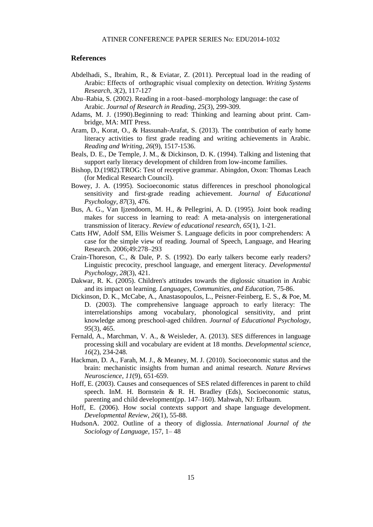#### **References**

- Abdelhadi, S., Ibrahim, R., & Eviatar, Z. (2011). Perceptual load in the reading of Arabic: Effects of orthographic visual complexity on detection. *Writing Systems Research*, *3*(2), 117-127
- Abu–Rabia, S. (2002). Reading in a root–based–morphology language: the case of Arabic. *Journal of Research in Reading*, *25*(3), 299-309.
- Adams, M. J. (1990).Beginning to read: Thinking and learning about print. Cambridge, MA: MIT Press.
- Aram, D., Korat, O., & Hassunah-Arafat, S. (2013). The contribution of early home literacy activities to first grade reading and writing achievements in Arabic. *Reading and Writing*, *26*(9), 1517-1536.
- Beals, D. E., De Temple, J. M., & Dickinson, D. K. (1994). Talking and listening that support early literacy development of children from low-income families.
- Bishop, D.(1982).TROG: Test of receptive grammar. Abingdon, Oxon: Thomas Leach (for Medical Research Council).
- Bowey, J. A. (1995). Socioeconomic status differences in preschool phonological sensitivity and first-grade reading achievement. *Journal of Educational Psychology*, *87*(3), 476.
- Bus, A. G., Van Ijzendoorn, M. H., & Pellegrini, A. D. (1995). Joint book reading makes for success in learning to read: A meta-analysis on intergenerational transmission of literacy. *Review of educational research*, *65*(1), 1-21.
- Catts HW, Adolf SM, Ellis Weismer S. Language deficits in poor comprehenders: A case for the simple view of reading. Journal of Speech, Language, and Hearing Research. 2006;49:278–293
- Crain-Thoreson, C., & Dale, P. S. (1992). Do early talkers become early readers? Linguistic precocity, preschool language, and emergent literacy. *Developmental Psychology*, *28*(3), 421.
- Dakwar, R. K. (2005). Children's attitudes towards the diglossic situation in Arabic and its impact on learning. *Languages, Communities, and Education*, 75-86.
- Dickinson, D. K., McCabe, A., Anastasopoulos, L., Peisner-Feinberg, E. S., & Poe, M. D. (2003). The comprehensive language approach to early literacy: The interrelationships among vocabulary, phonological sensitivity, and print knowledge among preschool-aged children. *Journal of Educational Psychology*, *95*(3), 465.
- Fernald, A., Marchman, V. A., & Weisleder, A. (2013). SES differences in language processing skill and vocabulary are evident at 18 months. *Developmental science*, *16*(2), 234-248.
- Hackman, D. A., Farah, M. J., & Meaney, M. J. (2010). Socioeconomic status and the brain: mechanistic insights from human and animal research. *Nature Reviews Neuroscience*, *11*(9), 651-659.
- Hoff, E. (2003). Causes and consequences of SES related differences in parent to child speech. InM. H. Bornstein & R. H. Bradley (Eds), Socioeconomic status, parenting and child development(pp. 147–160). Mahwah, NJ: Erlbaum.
- Hoff, E. (2006). How social contexts support and shape language development. *Developmental Review*, *26*(1), 55-88.
- HudsonA. 2002. Outline of a theory of diglossia. *International Journal of the Sociology of Language*, 157, 1– 48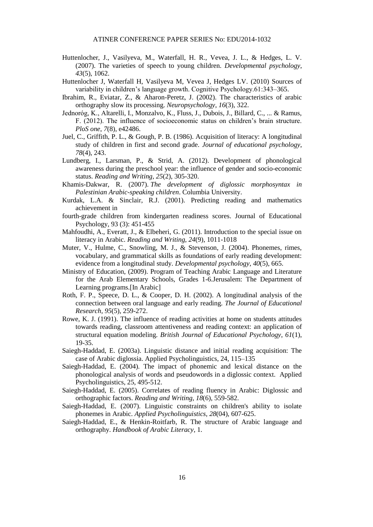- Huttenlocher, J., Vasilyeva, M., Waterfall, H. R., Vevea, J. L., & Hedges, L. V. (2007). The varieties of speech to young children. *Developmental psychology*, *43*(5), 1062.
- Huttenlocher J, Waterfall H, Vasilyeva M, Vevea J, Hedges LV. (2010) Sources of variability in children's language growth. Cognitive Psychology.61:343–365.
- Ibrahim, R., Eviatar, Z., & Aharon-Peretz, J. (2002). The characteristics of arabic orthography slow its processing. *Neuropsychology*, *16*(3), 322.
- Jednoróg, K., Altarelli, I., Monzalvo, K., Fluss, J., Dubois, J., Billard, C., ... & Ramus, F. (2012). The influence of socioeconomic status on children's brain structure. *PloS one*, *7*(8), e42486.
- Juel, C., Griffith, P. L., & Gough, P. B. (1986). Acquisition of literacy: A longitudinal study of children in first and second grade. *Journal of educational psychology*, *78*(4), 243.
- Lundberg, I., Larsman, P., & Strid, A. (2012). Development of phonological awareness during the preschool year: the influence of gender and socio-economic status. *Reading and Writing*, *25*(2), 305-320.
- Khamis-Dakwar, R. (2007). *The development of diglossic morphosyntax in Palestinian Arabic-speaking children*. Columbia University.
- Kurdak, L.A. & Sinclair, R.J. (2001). Predicting reading and mathematics achievement in
- fourth-grade children from kindergarten readiness scores. Journal of Educational Psychology, 93 (3): 451-455
- Mahfoudhi, A., Everatt, J., & Elbeheri, G. (2011). Introduction to the special issue on literacy in Arabic. *Reading and Writing*, *24*(9), 1011-1018
- Muter, V., Hulme, C., Snowling, M. J., & Stevenson, J. (2004). Phonemes, rimes, vocabulary, and grammatical skills as foundations of early reading development: evidence from a longitudinal study. *Developmental psychology*, *40*(5), 665.
- Ministry of Education, (2009). Program of Teaching Arabic Language and Literature for the Arab Elementary Schools, Grades 1-6.Jerusalem: The Department of Learning programs.[In Arabic]
- Roth, F. P., Speece, D. L., & Cooper, D. H. (2002). A longitudinal analysis of the connection between oral language and early reading. *The Journal of Educational Research*, *95*(5), 259-272.
- Rowe, K. J. (1991). The influence of reading activities at home on students attitudes towards reading, classroom attentiveness and reading context: an application of structural equation modeling. *British Journal of Educational Psychology*, *61*(1), 19-35.
- Saiegh-Haddad, E. (2003a). Linguistic distance and initial reading acquisition: The case of Arabic diglossia. Applied Psycholinguistics, 24, 115–135
- Saiegh-Haddad, E. (2004). The impact of phonemic and lexical distance on the phonological analysis of words and pseudowords in a diglossic context. Applied Psycholinguistics, 25, 495-512.
- Saiegh-Haddad, E. (2005). Correlates of reading fluency in Arabic: Diglossic and orthographic factors. *Reading and Writing*, *18*(6), 559-582.
- Saiegh-Haddad, E. (2007). Linguistic constraints on children's ability to isolate phonemes in Arabic. *Applied Psycholinguistics*, *28*(04), 607-625.
- Saiegh-Haddad, E., & Henkin-Roitfarb, R. The structure of Arabic language and orthography. *Handbook of Arabic Literacy*, 1.